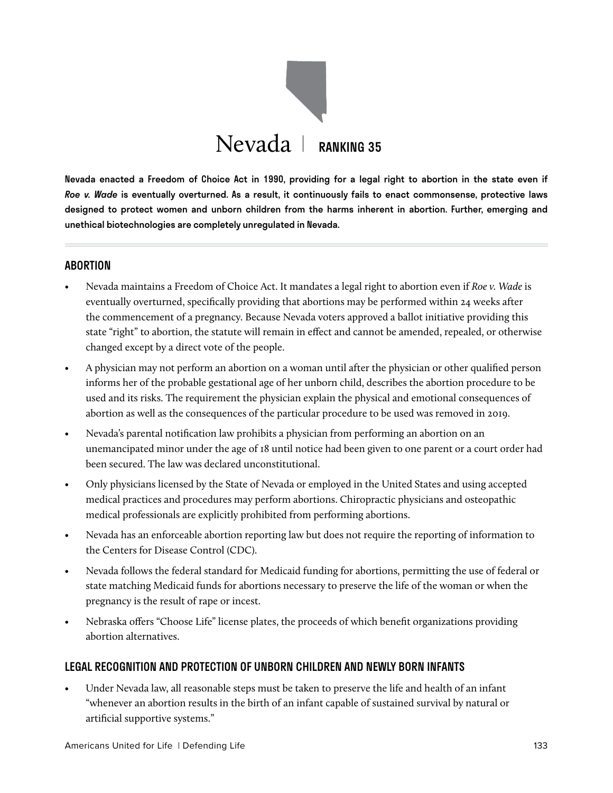

Nevada enacted a Freedom of Choice Act in 1990, providing for a legal right to abortion in the state even if *Roe v. Wade* is eventually overturned. As a result, it continuously fails to enact commonsense, protective laws designed to protect women and unborn children from the harms inherent in abortion. Further, emerging and unethical biotechnologies are completely unregulated in Nevada.

#### ABORTION

- Nevada maintains a Freedom of Choice Act. It mandates a legal right to abortion even if *Roe v. Wade* is eventually overturned, specifically providing that abortions may be performed within 24 weeks after the commencement of a pregnancy. Because Nevada voters approved a ballot initiative providing this state "right" to abortion, the statute will remain in effect and cannot be amended, repealed, or otherwise changed except by a direct vote of the people.
- A physician may not perform an abortion on a woman until after the physician or other qualified person informs her of the probable gestational age of her unborn child, describes the abortion procedure to be used and its risks. The requirement the physician explain the physical and emotional consequences of abortion as well as the consequences of the particular procedure to be used was removed in 2019.
- Nevada's parental notification law prohibits a physician from performing an abortion on an unemancipated minor under the age of 18 until notice had been given to one parent or a court order had been secured. The law was declared unconstitutional.
- Only physicians licensed by the State of Nevada or employed in the United States and using accepted medical practices and procedures may perform abortions. Chiropractic physicians and osteopathic medical professionals are explicitly prohibited from performing abortions.
- Nevada has an enforceable abortion reporting law but does not require the reporting of information to the Centers for Disease Control (CDC).
- Nevada follows the federal standard for Medicaid funding for abortions, permitting the use of federal or state matching Medicaid funds for abortions necessary to preserve the life of the woman or when the pregnancy is the result of rape or incest.
- Nebraska offers "Choose Life" license plates, the proceeds of which benefit organizations providing abortion alternatives.

## LEGAL RECOGNITION AND PROTECTION OF UNBORN CHILDREN AND NEWLY BORN INFANTS

• Under Nevada law, all reasonable steps must be taken to preserve the life and health of an infant "whenever an abortion results in the birth of an infant capable of sustained survival by natural or artificial supportive systems."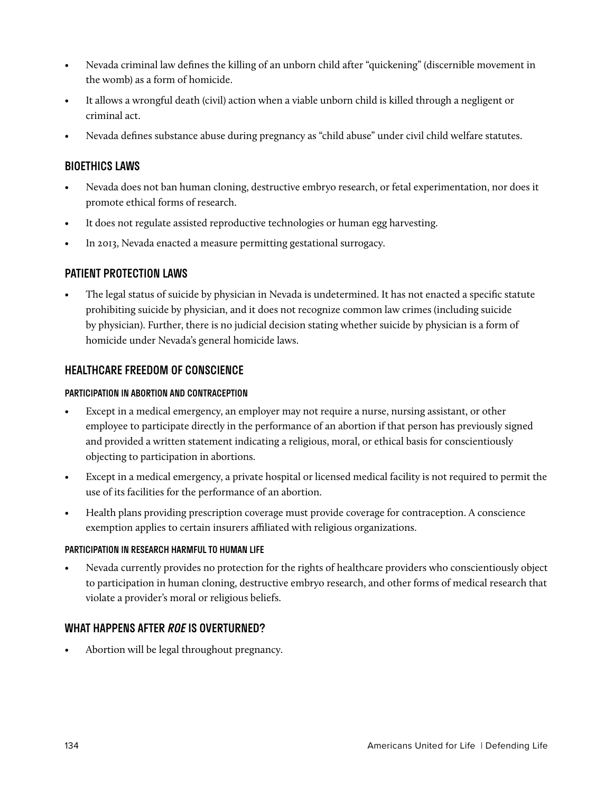- Nevada criminal law defines the killing of an unborn child after "quickening" (discernible movement in the womb) as a form of homicide.
- It allows a wrongful death (civil) action when a viable unborn child is killed through a negligent or criminal act.
- Nevada defines substance abuse during pregnancy as "child abuse" under civil child welfare statutes.

## BIOETHICS LAWS

- Nevada does not ban human cloning, destructive embryo research, or fetal experimentation, nor does it promote ethical forms of research.
- It does not regulate assisted reproductive technologies or human egg harvesting.
- In 2013, Nevada enacted a measure permitting gestational surrogacy.

## PATIENT PROTECTION LAWS

• The legal status of suicide by physician in Nevada is undetermined. It has not enacted a specific statute prohibiting suicide by physician, and it does not recognize common law crimes (including suicide by physician). Further, there is no judicial decision stating whether suicide by physician is a form of homicide under Nevada's general homicide laws.

## HEALTHCARE FREEDOM OF CONSCIENCE

#### PARTICIPATION IN ABORTION AND CONTRACEPTION

- Except in a medical emergency, an employer may not require a nurse, nursing assistant, or other employee to participate directly in the performance of an abortion if that person has previously signed and provided a written statement indicating a religious, moral, or ethical basis for conscientiously objecting to participation in abortions.
- Except in a medical emergency, a private hospital or licensed medical facility is not required to permit the use of its facilities for the performance of an abortion.
- Health plans providing prescription coverage must provide coverage for contraception. A conscience exemption applies to certain insurers affiliated with religious organizations.

#### PARTICIPATION IN RESEARCH HARMFUL TO HUMAN LIFE

• Nevada currently provides no protection for the rights of healthcare providers who conscientiously object to participation in human cloning, destructive embryo research, and other forms of medical research that violate a provider's moral or religious beliefs.

## WHAT HAPPENS AFTER *ROE* IS OVERTURNED?

• Abortion will be legal throughout pregnancy.